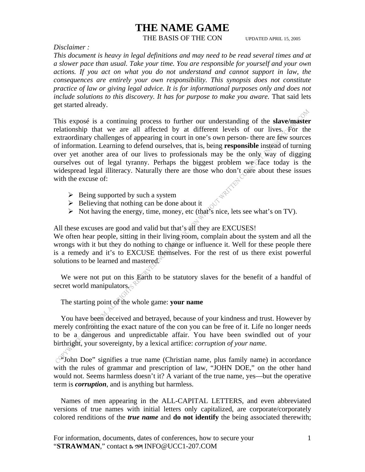#### THE BASIS OF THE CON UPDATED APRIL 15, 2005

*Disclaimer :* 

*This document is heavy in legal definitions and may need to be read several times and at a slower pace than usual. Take your time. You are responsible for yourself and your own*  actions. If you act on what you do not understand and cannot support in law, the *consequences are entirely your own responsibility. This synopsis does not constitute practice of law or giving legal advice. It is for informational purposes only and does not include solutions to this discovery. It has for purpose to make you aware. That said lets* get started already.

This exposé is a continuing process to further our understanding of the **slave/master** relationship that we are all affected by at different levels of our lives. For the extraordinary challenges of appearing in court in one's own person- there are few sources of information. Learning to defend ourselves, that is, being **responsible** instead of turning over yet another area of our lives to professionals may be the only way of digging ourselves out of legal tyranny. Perhaps the biggest problem we face today is the widespread legal illiteracy. Naturally there are those who don't care about these issues with the excuse of: **WRITT** 

- $\triangleright$  Being supported by such a system
- $\triangleright$  Believing that nothing can be done about it
- $\triangleright$  Not having the energy, time, money, etc (that's nice, lets see what's on TV).

All these excuses are good and valid but that's all they are EXCUSES!

We often hear people, sitting in their living room, complain about the system and all the wrongs with it but they do nothing to change or influence it. Well for these people there is a remedy and it's to EXCUSE themselves. For the rest of us there exist powerful solutions to be learned and mastered.

 We were not put on this Earth to be statutory slaves for the benefit of a handful of secret world manipulators.

The starting point of the whole game: **your name**

 You have been deceived and betrayed, because of your kindness and trust. However by merely confronting the exact nature of the con you can be free of it. Life no longer needs to be a dangerous and unpredictable affair. You have been swindled out of your birthright, your sovereignty, by a lexical artifice: *corruption of your name*.

 "John Doe" signifies a true name (Christian name, plus family name) in accordance with the rules of grammar and prescription of law, "JOHN DOE," on the other hand would not. Seems harmless doesn't it? A variant of the true name, yes—but the operative term is *corruption*, and is anything but harmless.

 Names of men appearing in the ALL-CAPITAL LETTERS, and even abbreviated versions of true names with initial letters only capitalized, are corporate/corporately colored renditions of the *true name* and **do not identify** the being associated therewith;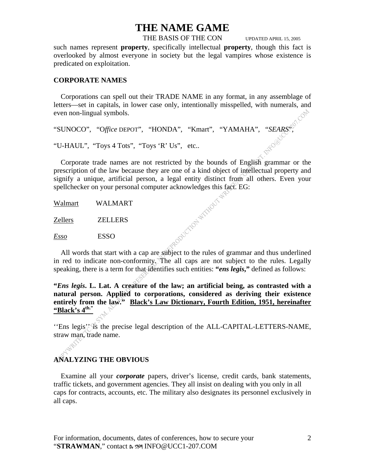THE BASIS OF THE CON UPDATED APRIL 15, 2005

such names represent **property**, specifically intellectual **property**, though this fact is overlooked by almost everyone in society but the legal vampires whose existence is predicated on exploitation.

#### **CORPORATE NAMES**

 Corporations can spell out their TRADE NAME in any format, in any assemblage of letters—set in capitals, in lower case only, intentionally misspelled, with numerals, and even non-lingual symbols.

"SUNOCO", "O*ffice* DEPOT", "HONDA", "Kmart", "YAMAHA", "*SEARS*",

"U-HAUL", "Toys 4 Tots", "Toys 'R' Us", etc..

 Corporate trade names are not restricted by the bounds of English grammar or the prescription of the law because they are one of a kind object of intellectual property and signify a unique, artificial person, a legal entity distinct from all others. Even your spellchecker on your personal computer acknowledges this fact. EG:

Walmart WALMART Zellers ZELLERS *Esso* ESSO

 All words that start with a cap are subject to the rules of grammar and thus underlined in red to indicate non-conformity. The all caps are not subject to the rules. Legally speaking, there is a term for that identifies such entities: **"***ens legis***,"** defined as follows:

REDIVERIDE MITHOUT 5

**"***Ens legis***. L. Lat. A creature of the law; an artificial being, as contrasted with a natural person. Applied to corporations, considered as deriving their existence**  entirely from the law." Black's Law Dictionary, Fourth Edition, 1951, hereinafter **"Black's 4th."**

''Ens legis'' is the precise legal description of the ALL-CAPITAL-LETTERS-NAME, straw man, trade name.

### **ANALYZING THE OBVIOUS**

È,

 Examine all your *corporate* papers, driver's license, credit cards, bank statements, traffic tickets, and government agencies. They all insist on dealing with you only in all caps for contracts, accounts, etc. The military also designates its personnel exclusively in all caps.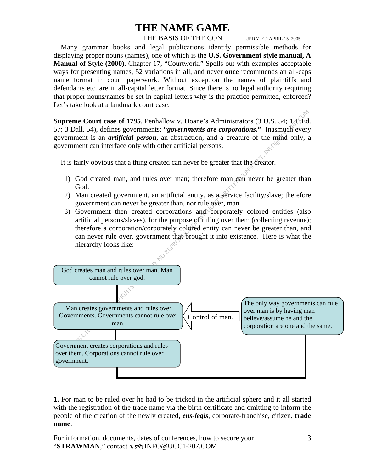#### THE BASIS OF THE CON UPDATED APRIL 15, 2005

 Many grammar books and legal publications identify permissible methods for displaying proper nouns (names), one of which is the **U.S. Government style manual, A Manual of Style (2000).** Chapter 17, "Courtwork." Spells out with examples acceptable ways for presenting names, 52 variations in all, and never **once** recommends an all-caps name format in court paperwork. Without exception the names of plaintiffs and defendants etc. are in all-capital letter format. Since there is no legal authority requiring that proper nouns/names be set in capital letters why is the practice permitted, enforced? Let's take look at a landmark court case:

**Supreme Court case of 1795**, Penhallow v. Doane's Administrators (3 U.S. 54; 1.1. Ed. 57; 3 Dall. 54), defines governments: **"***governments are corporations***."** Inasmuch every government is an *artificial person,* an abstraction, and a creature of the mind only, a government can interface only with other artificial persons.

It is fairly obvious that a thing created can never be greater that the creator.

- 1) God created man, and rules over man; therefore man can never be greater than God.
- 2) Man created government, an artificial entity, as a service facility/slave; therefore government can never be greater than, nor rule over, man.
- 3) Government then created corporations and corporately colored entities (also artificial persons/slaves), for the purpose of ruling over them (collecting revenue); therefore a corporation/corporately colored entity can never be greater than, and can never rule over, government that brought it into existence. Here is what the hierarchy looks like:



**1.** For man to be ruled over he had to be tricked in the artificial sphere and it all started with the registration of the trade name via the birth certificate and omitting to inform the people of the creation of the newly created, *ens-legis*, corporate-franchise, citizen, **trade name**.

For information, documents, dates of conferences, how to secure your "**STRAWMAN**," contact Dr SYM INFO@UCC1-207.COM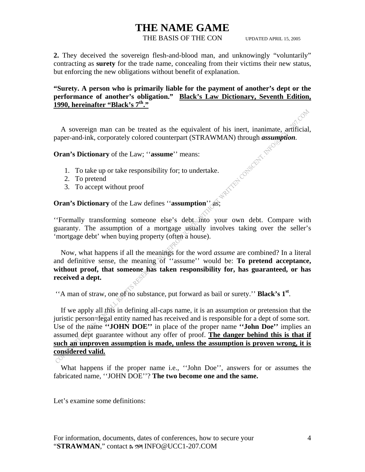#### THE BASIS OF THE CON UPDATED APRIL 15, 2005

**2.** They deceived the sovereign flesh-and-blood man, and unknowingly "voluntarily" contracting as **surety** for the trade name, concealing from their victims their new status, but enforcing the new obligations without benefit of explanation.

#### **"Surety. A person who is primarily liable for the payment of another's dept or the performance of another's obligation." Black's Law Dictionary, Seventh Edition, 1990, hereinafter "Black's 7th."**

 A sovereign man can be treated as the equivalent of his inert, inanimate, artificial, paper-and-ink, corporately colored counterpart (STRAWMAN) through *assumption*.<br> **Oran's Dictionary** of the Law; "**assume**" means:<br>
1. To take up or take responsibility for; to undertake<br>
2. To pretend<br>
3. To accept withou

**Oran's Dictionary** of the Law; ''**assume**'' means:

- 1. To take up or take responsibility for; to undertake.
- 2. To pretend
- 3. To accept without proof

### **Oran's Dictionary** of the Law defines ''**assumption**'' as;

''Formally transforming someone else's debt into your own debt. Compare with guaranty. The assumption of a mortgage usually involves taking over the seller's 'mortgage debt' when buying property (often a house).

 Now, what happens if all the meanings for the word *assume* are combined? In a literal and definitive sense, the meaning of "assume" would be: **To pretend acceptance, without proof, that someone has taken responsibility for, has guaranteed, or has received a dept.** 

''A man of straw, one of no substance, put forward as bail or surety.'' **Black's 1st**.

 If we apply all this in defining all-caps name, it is an assumption or pretension that the juristic person=legal entity named has received and is responsible for a dept of some sort. Use of the name **''JOHN DOE''** in place of the proper name **''John Doe''** implies an assumed dept guarantee without any offer of proof. **The danger behind this is that if**  such an unproven assumption is made, unless the assumption is proven wrong, it is **considered valid.**

 What happens if the proper name i.e., ''John Doe'', answers for or assumes the fabricated name, ''JOHN DOE''? **The two become one and the same.**

Let's examine some definitions: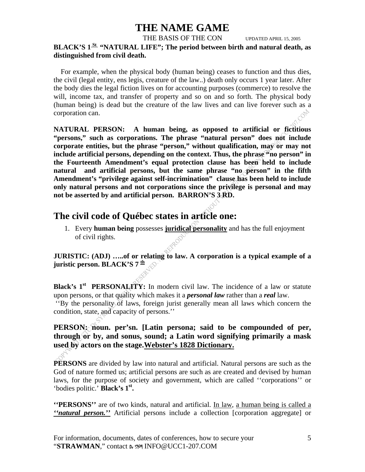THE BASIS OF THE CON UPDATED APRIL 15, 2005

### BLACK'S 1<sup>St</sup> "NATURAL LIFE"; The period between birth and natural death, as **distinguished from civil death.**

 For example, when the physical body (human being) ceases to function and thus dies, the civil (legal entity, ens legis, creature of the law..) death only occurs 1 year later. After the body dies the legal fiction lives on for accounting purposes (commerce) to resolve the will, income tax, and transfer of property and so on and so forth. The physical body (human being) is dead but the creature of the law lives and can live forever such as a corporation can.

**NATURAL PERSON: A human being, as opposed to artificial or fictitious "persons," such as corporations. The phrase "natural person" does not include corporate entities, but the phrase "person," without qualification, may or may not include artificial persons, depending on the context. Thus, the phrase "no person" in the Fourteenth Amendment's equal protection clause has been held to include natural and artificial persons, but the same phrase "no person" in the fifth Amendment's "privilege against self-incrimination" clause has been held to include only natural persons and not corporations since the privilege is personal and may not be asserted by and artificial person. BARRON'S 3 RD.** 

### **The civil code of Québec states in article one:**

1. Every **human being** possesses **juridical personality** and has the full enjoyment of civil rights.

**JURISTIC: (ADJ) …..of or relating to law. A corporation is a typical example of a juristic person. BLACK'S 7 th**

**Black's 1<sup>st</sup> PERSONALITY:** In modern civil law. The incidence of a law or statute upon persons, or that quality which makes it a *personal law* rather than a *real* law. ''By the personality of laws, foreign jurist generally mean all laws which concern the condition, state, and capacity of persons.''

### **PERSON: noun. per'sn. [Latin persona; said to be compounded of per, through or by, and sonus, sound; a Latin word signifying primarily a mask used by actors on the stage.Webster's 1828 Dictionary.**

**PERSONS** are divided by law into natural and artificial. Natural persons are such as the God of nature formed us; artificial persons are such as are created and devised by human laws, for the purpose of society and government, which are called ''corporations'' or 'bodies politic.' **Black's 1st.**

**''PERSONS''** are of two kinds, natural and artificial. In law, a human being is called a *''natural person.''* Artificial persons include a collection [corporation aggregate] or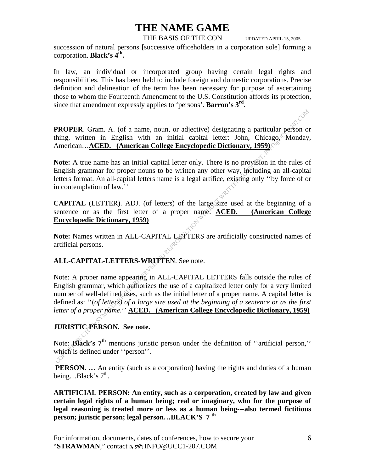THE BASIS OF THE CON UPDATED APRIL 15, 2005

succession of natural persons [successive officeholders in a corporation sole] forming a corporation. **Black's 4th.**

In law, an individual or incorporated group having certain legal rights and responsibilities. This has been held to include foreign and domestic corporations. Precise definition and delineation of the term has been necessary for purpose of ascertaining those to whom the Fourteenth Amendment to the U.S. Constitution affords its protection, since that amendment expressly applies to 'persons'. **Barron's 3rd**.

**PROPER**. Gram. A. (of a name, noun, or adjective) designating a particular person or thing, written in English with an initial capital letter: John, Chicago, Monday, American…**ACED. (American College Encyclopedic Dictionary, 1959)**

**Note:** A true name has an initial capital letter only. There is no provision in the rules of English grammar for proper nouns to be written any other way, including an all-capital letters format. An all-capital letters name is a legal artifice, existing only ''by force of or in contemplation of law.''

**CAPITAL** (LETTER). ADJ. (of letters) of the large size used at the beginning of a sentence or as the first letter of a proper name. **ACED. (American College Encyclopedic Dictionary, 1959)**

**Note:** Names written in ALL-CAPITAL LETTERS are artificially constructed names of artificial persons.

#### **ALL-CAPITAL-LETTERS-WRITTEN**. See note.

Note: A proper name appearing in ALL-CAPITAL LETTERS falls outside the rules of English grammar, which authorizes the use of a capitalized letter only for a very limited number of well-defined uses, such as the initial letter of a proper name. A capital letter is defined as: ''(*of letters) of a large size used at the beginning of a sentence or as the first letter of a proper name*.'' **ACED. (American College Encyclopedic Dictionary, 1959)**

#### **JURISTIC PERSON. See note.**

Note: **Black's** 7<sup>th</sup> mentions juristic person under the definition of "artificial person," which is defined under "person".

**PERSON.** ... An entity (such as a corporation) having the rights and duties of a human being... $Black's 7<sup>th</sup>$ .

**ARTIFICIAL PERSON: An entity, such as a corporation, created by law and given certain legal rights of a human being; real or imaginary, who for the purpose of legal reasoning is treated more or less as a human being---also termed fictitious person; juristic person; legal person…BLACK'S 7 th**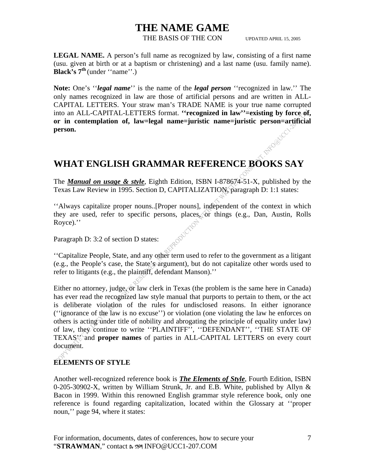THE BASIS OF THE CON UPDATED APRIL 15, 2005

**LEGAL NAME.** A person's full name as recognized by law, consisting of a first name (usu. given at birth or at a baptism or christening) and a last name (usu. family name). **Black's 7<sup>th</sup>** (under "name".)

**Note:** One's ''*legal name*'' is the name of the *legal person* ''recognized in law.'' The only names recognized in law are those of artificial persons and are written in ALL-CAPITAL LETTERS. Your straw man's TRADE NAME is your true name corrupted into an ALL-CAPITAL-LETTERS format. **''recognized in law''=existing by force of, or in contemplation of, law=legal name=juristic name=juristic person=artificial person.**  RIFO@JCC

### **WHAT ENGLISH GRAMMAR REFERENCE BOOKS SAY**

The *Manual on usage & style*, Eighth Edition, ISBN I-878674-51-X, published by the Texas Law Review in 1995. Section D, CAPITALIZATION, paragraph D: 1:1 states:

''Always capitalize proper nouns..[Proper nouns], independent of the context in which they are used, refer to specific persons, places, or things (e.g., Dan, Austin, Rolls Royce).''

Paragraph D: 3:2 of section D states:

''Capitalize People, State, and any other term used to refer to the government as a litigant (e.g., the People's case, the State's argument), but do not capitalize other words used to refer to litigants (e.g., the plaintiff, defendant Manson).''

Either no attorney, judge,  $\delta r$  law clerk in Texas (the problem is the same here in Canada) has ever read the recognized law style manual that purports to pertain to them, or the act is deliberate violation of the rules for undisclosed reasons. In either ignorance (''ignorance of the law is no excuse'') or violation (one violating the law he enforces on others is acting under title of nobility and abrogating the principle of equality under law) of law, they continue to write "PLAINTIFF", "DEFENDANT", "THE STATE OF TEXAS'' and **proper names** of parties in ALL-CAPITAL LETTERS on every court document.

### **ELEMENTS OF STYLE**

Another well-recognized reference book is *The Elements of Style*, Fourth Edition, ISBN 0-205-30902-X, written by William Strunk, Jr. and E.B. White, published by Allyn & Bacon in 1999. Within this renowned English grammar style reference book, only one reference is found regarding capitalization, located within the Glossary at ''proper noun," page 94, where it states: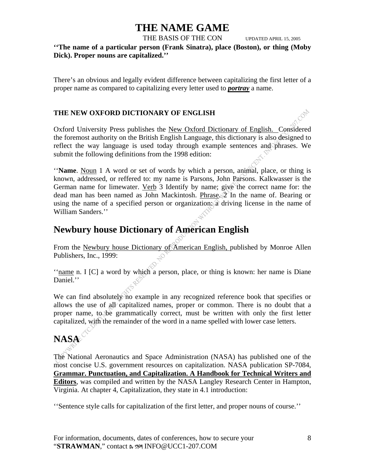THE BASIS OF THE CON UPDATED APRIL 15, 2005

1.00%

**''The name of a particular person (Frank Sinatra), place (Boston), or thing (Moby Dick). Proper nouns are capitalized.''** 

There's an obvious and legally evident difference between capitalizing the first letter of a proper name as compared to capitalizing every letter used to *portray* a name.

#### **THE NEW OXFORD DICTIONARY OF ENGLISH**

Oxford University Press publishes the New Oxford Dictionary of English. Considered the foremost authority on the British English Language, this dictionary is also designed to reflect the way language is used today through example sentences and phrases. We submit the following definitions from the 1998 edition:

''**Name**. Noun 1 A word or set of words by which a person, animal, place, or thing is known, addressed, or reffered to: my name is Parsons, John Parsons. Kalkwasser is the German name for limewater. Verb 3 Identify by name; give the correct name for: the dead man has been named as John Mackintosh. Phrase.  $\mathbb{Z}$  In the name of. Bearing or using the name of a specified person or organization:  $\alpha$  driving license in the name of William Sanders.''

### **Newbury house Dictionary of American English**

From the Newbury house Dictionary of American English, published by Monroe Allen Publishers, Inc., 1999:

''name n. I [C] a word by which a person, place, or thing is known: her name is Diane Daniel.''

We can find absolutely no example in any recognized reference book that specifies or allows the use of all capitalized names, proper or common. There is no doubt that a proper name, to be grammatically correct, must be written with only the first letter capitalized, with the remainder of the word in a name spelled with lower case letters.

# **NASA**

The National Aeronautics and Space Administration (NASA) has published one of the most concise U.S. government resources on capitalization. NASA publication SP-7084, **Grammar. Punctuation, and Capitalization. A Handbook for Technical Writers and Editors**, was compiled and written by the NASA Langley Research Center in Hampton, Virginia. At chapter 4, Capitalization, they state in 4.1 introduction:

''Sentence style calls for capitalization of the first letter, and proper nouns of course.''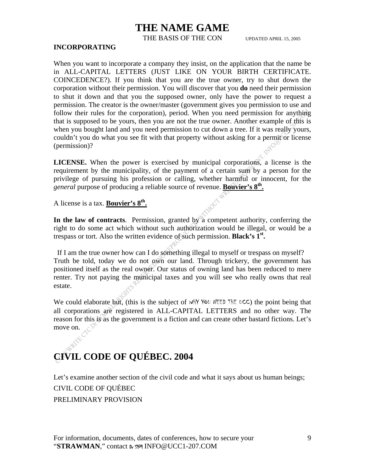THE BASIS OF THE CON UPDATED APRIL 15, 2005

#### **INCORPORATING**

When you want to incorporate a company they insist, on the application that the name be in ALL-CAPITAL LETTERS (JUST LIKE ON YOUR BIRTH CERTIFICATE. COINCEDENCE?). If you think that you are the true owner, try to shut down the corporation without their permission. You will discover that you **do** need their permission to shut it down and that you the supposed owner, only have the power to request a permission. The creator is the owner/master (government gives you permission to use and follow their rules for the corporation), period. When you need permission for anything that is supposed to be yours, then you are not the true owner. Another example of this is when you bought land and you need permission to cut down a tree. If it was really yours, couldn't you do what you see fit with that property without asking for a permit or license (permission)?

**LICENSE.** When the power is exercised by municipal corporations, a license is the requirement by the municipality, of the payment of a certain sum by a person for the privilege of pursuing his profession or calling, whether harmful or innocent, for the *general* purpose of producing a reliable source of revenue. **Bouvier's 8th.**

A license is a tax. **Bouvier's 8th.**

In the law of contracts. Permission, granted by a competent authority, conferring the right to do some act which without such authorization would be illegal, or would be a trespass or tort. Also the written evidence of such permission. **Black's 1st.** 

 If I am the true owner how can I do something illegal to myself or trespass on myself? Truth be told, today we do not own our land. Through trickery, the government has positioned itself as the real owner. Our status of owning land has been reduced to mere renter. Try not paying the municipal taxes and you will see who really owns that real estate.

We could elaborate but, (this is the subject of  $W$ HY YOU NEED THE UCC) the point being that all corporations are registered in ALL-CAPITAL LETTERS and no other way. The reason for this is as the government is a fiction and can create other bastard fictions. Let's move on.

# **CIVIL CODE OF QUÉBEC. 2004**

Let's examine another section of the civil code and what it says about us human beings; CIVIL CODE OF QUÉBEC PRELIMINARY PROVISION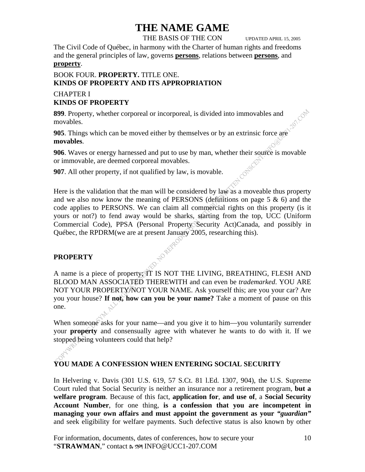THE BASIS OF THE CON UPDATED APRIL 15, 2005

The Civil Code of Québec, in harmony with the Charter of human rights and freedoms and the general principles of law, governs **persons**, relations between **persons**, and **property**.

#### BOOK FOUR. **PROPERTY.** TITLE ONE. **KINDS OF PROPERTY AND ITS APPROPRIATION**

#### CHAPTER I **KINDS OF PROPERTY**

**899**. Property, whether corporeal or incorporeal, is divided into immovables and movables.

**905**. Things which can be moved either by themselves or by an extrinsic force are **movables**.

**906**. Waves or energy harnessed and put to use by man, whether their source is movable or immovable, are deemed corporeal movables.

**907**. All other property, if not qualified by law, is movable.

Here is the validation that the man will be considered by law as a moveable thus property and we also now know the meaning of PERSONS (definitions on page  $5 \& 6$ ) and the code applies to PERSONS. We can claim all commercial rights on this property (is it yours or not?) to fend away would be sharks, starting from the top, UCC (Uniform Commercial Code), PPSA (Personal Property Security Act)Canada, and possibly in Québec, the RPDRM(we are at present January 2005, researching this).

#### **PROPERTY**

A name is a piece of property; IT IS NOT THE LIVING, BREATHING, FLESH AND BLOOD MAN ASSOCIATED THEREWITH and can even be *trademarked*. YOU ARE NOT YOUR PROPERTY/NOT YOUR NAME. Ask yourself this; are you your car? Are you your house? **If not, how can you be your name?** Take a moment of pause on this one.

When someone asks for your name—and you give it to him—you voluntarily surrender your **property** and consensually agree with whatever he wants to do with it. If we stopped being volunteers could that help?

#### **YOU MADE A CONFESSION WHEN ENTERING SOCIAL SECURITY**

In Helvering v. Davis (301 U.S. 619, 57 S.Ct. 81 l.Ed. 1307, 904), the U.S. Supreme Court ruled that Social Security is neither an insurance nor a retirement program, **but a welfare program**. Because of this fact, **application for**, **and use of**, a **Social Security Account Number**, for one thing, **is a confession that you are incompetent in managing your own affairs and must appoint the government as your** *"guardian"* and seek eligibility for welfare payments. Such defective status is also known by other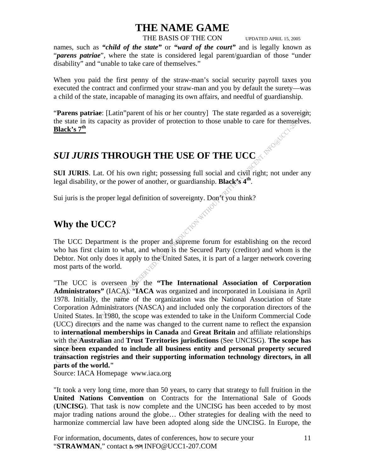THE BASIS OF THE CON UPDATED APRIL 15, 2005

names, such as *"child of the state"* or *"ward of the court"* and is legally known as "*parens patriae*", where the state is considered legal parent/guardian of those "under disability" and "unable to take care of themselves."

When you paid the first penny of the straw-man's social security payroll taxes you executed the contract and confirmed your straw-man and you by default the surety—was a child of the state, incapable of managing its own affairs, and needful of guardianship.

"**Parens patriae**: [Latin"parent of his or her country] The state regarded as a sovereign; the state in its capacity as provider of protection to those unable to care for themselves. **Black's 7th**

## *SUI JURIS* **THROUGH THE USE OF THE UCC**

**SUI JURIS**. Lat. Of his own right; possessing full social and civil right; not under any legal disability, or the power of another, or guardianship. **Black's 4th**.

Sui juris is the proper legal definition of sovereignty. Don't you think?<br>Why the UCC?

### **Why the UCC?**

The UCC Department is the proper and supreme forum for establishing on the record who has first claim to what, and whom is the Secured Party (creditor) and whom is the Debtor. Not only does it apply to the United Sates, it is part of a larger network covering most parts of the world.

"The UCC is overseen by the "The International Association of Corporation **Administrators"** (IACA). "**IACA** was organized and incorporated in Louisiana in April 1978. Initially, the name of the organization was the National Association of State Corporation Administrators (NASCA) and included only the corporation directors of the United States. In 1980, the scope was extended to take in the Uniform Commercial Code (UCC) directors and the name was changed to the current name to reflect the expansion to **international memberships in Canada** and **Great Britain** and affiliate relationships with the **Australian** and **Trust Territories jurisdictions** (See UNCISG). **The scope has since been expanded to include all business entity and personal property secured transaction registries and their supporting information technology directors, in all parts of the world."** 

Source: IACA Homepage www.iaca.org

"It took a very long time, more than 50 years, to carry that strategy to full fruition in the **United Nations Convention** on Contracts for the International Sale of Goods (**UNCISG**). That task is now complete and the UNCISG has been acceded to by most major trading nations around the globe… Other strategies for dealing with the need to harmonize commercial law have been adopted along side the UNCISG. In Europe, the

For information, documents, dates of conferences, how to secure your "**STRAWMAN**," contact Dr SYM INFO@UCC1-207.COM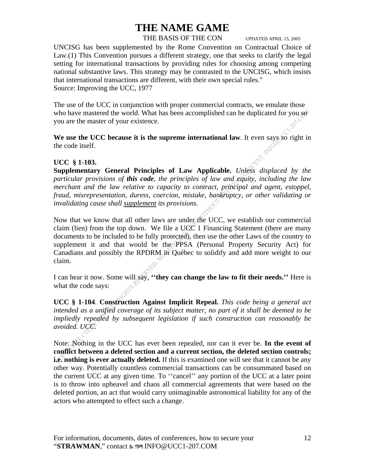#### THE BASIS OF THE CON UPDATED APRIL 15, 2005

UNCISG has been supplemented by the Rome Convention on Contractual Choice of Law.(1) This Convention pursues a different strategy, one that seeks to clarify the legal setting for international transactions by providing rules for choosing among competing national substantive laws. This strategy may be contrasted to the UNCISG, which insists that international transactions are different, with their own special rules." Source: Improving the UCC, 1977

The use of the UCC in conjunction with proper commercial contracts, we emulate those who have mastered the world. What has been accomplished can be duplicated for you so you are the master of your existence.

We use the UCC because it is the supreme international law. It even says so right in the code itself.

#### **UCC § 1-103.**

**Supplementary General Principles of Law Applicable.** *Unless displaced by the particular provisions of this code, the principles of law and equity, including the law merchant and the law relative to capacity to contract, principal and agent, estoppel, fraud, misrepresentation, duress, coercion, mistake, bankruptcy, or other validating or invalidating cause shall supplement its provisions.* 

Now that we know that all other laws are under the UCC, we establish our commercial claim (lien) from the top down. We file a  $UCC<sup>1</sup>$  Financing Statement (there are many documents to be included to be fully protected), then use the other Laws of the country to supplement it and that would be the PPSA (Personal Property Security Act) for Canadians and possibly the RPDRM in Québec to solidify and add more weight to our claim.

I can hear it now. Some will say, **''they can change the law to fit their needs.''** Here is what the code says:

**UCC § 1-104**. **Construction Against Implicit Repeal.** *This code being a general act intended as a unified coverage of its subject matter, no part of it shall be deemed to be impliedly repealed by subsequent legislation if such construction can reasonably be avoided. UCC.* 

Note: Nothing in the UCC has ever been repealed, nor can it ever be. **In the event of conflict between a deleted section and a current section, the deleted section controls; i.e. nothing is ever actually deleted.** If this is examined one will see that it cannot be any other way. Potentially countless commercial transactions can be consummated based on the current UCC at any given time. To ''cancel'' any portion of the UCC at a later point is to throw into upheavel and chaos all commercial agreements that were based on the deleted portion, an act that would carry unimaginable astronomical liability for any of the actors who attempted to effect such a change.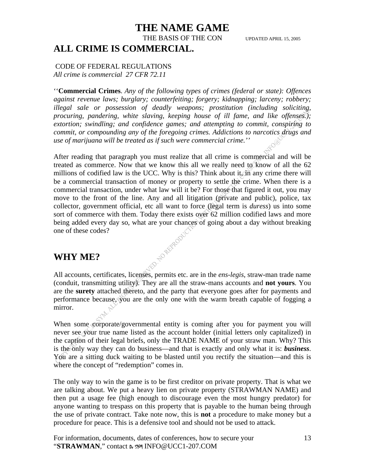### **THE NAME GAME**  THE BASIS OF THE CON UPDATED APRIL 15, 2005 **ALL CRIME IS COMMERCIAL.**

#### CODE OF FEDERAL REGULATIONS *All crime is commercial 27 CFR 72.11*

''**Commercial Crimes**. *Any of the following types of crimes (federal or state): Offences against revenue laws; burglary; counterfeiting; forgery; kidnapping; larceny; robbery; illegal sale or possession of deadly weapons; prostitution (including soliciting, procuring, pandering, white slaving, keeping house of ill fame, and like offenses.); extortion; swindling; and confidence games; and attempting to commit, conspiring to commit, or compounding any of the foregoing crimes. Addictions to narcotics drugs and use of marijuana will be treated as if such were commercial crime.''* 

After reading that paragraph you must realize that all crime is commercial and will be treated as commerce. Now that we know this all we really need to know of all the  $62$ millions of codified law is the UCC. Why is this? Think about it,  $\overrightarrow{m}$  any crime there will be a commercial transaction of money or property to settle the crime. When there is a commercial transaction, under what law will it be? For those that figured it out, you may move to the front of the line. Any and all litigation (private and public), police, tax collector, government official, etc all want to force (legal term is *duress*) us into some sort of commerce with them. Today there exists over 62 million codified laws and more being added every day so, what are your chances of going about a day without breaking<br>one of these codes?<br>WHY ME? one of these codes?

### **WHY ME?**

All accounts, certificates, licenses, permits etc. are in the *ens-legis*, straw-man trade name (conduit, transmitting utility). They are all the straw-mans accounts and **not yours**. You are the **surety** attached thereto, and the party that everyone goes after for payments and performance because, you are the only one with the warm breath capable of fogging a mirror.

When some corporate/governmental entity is coming after you for payment you will never see your true name listed as the account holder (initial letters only capitalized) in the caption of their legal briefs, only the TRADE NAME of your straw man. Why? This is the only way they can do business—and that is exactly and only what it is: **business**. You are a sitting duck waiting to be blasted until you rectify the situation—and this is where the concept of "redemption" comes in.

The only way to win the game is to be first creditor on private property. That is what we are talking about. We put a heavy lien on private property (STRAWMAN NAME) and then put a usage fee (high enough to discourage even the most hungry predator) for anyone wanting to trespass on this property that is payable to the human being through the use of private contract. Take note now, this is **not** a procedure to make money but a procedure for peace. This is a defensive tool and should not be used to attack.

For information, documents, dates of conferences, how to secure your "**STRAWMAN**," contact Dr SYM INFO@UCC1-207.COM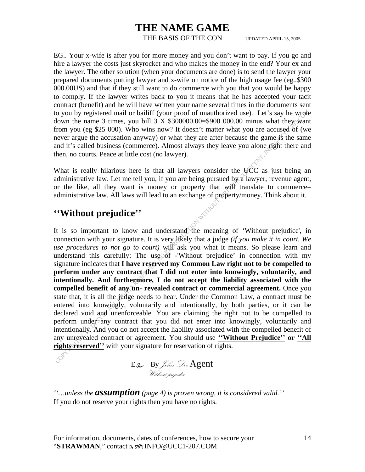THE BASIS OF THE CON UPDATED APRIL 15, 2005

EG.. Your x-wife is after you for more money and you don't want to pay. If you go and hire a lawyer the costs just skyrocket and who makes the money in the end? Your ex and the lawyer. The other solution (when your documents are done) is to send the lawyer your prepared documents putting lawyer and x-wife on notice of the high usage fee (eg..\$300 000.00US) and that if they still want to do commerce with you that you would be happy to comply. If the lawyer writes back to you it means that he has accepted your tacit contract (benefit) and he will have written your name several times in the documents sent to you by registered mail or bailiff (your proof of unauthorized use). Let's say he wrote down the name 3 times, you bill  $3 \times $300000.00= $900 000.00$  minus what they want from you (eg \$25 000). Who wins now? It doesn't matter what you are accused of (we never argue the accusation anyway) or what they are after because the game is the same and it's called business (commerce). Almost always they leave you alone right there and then, no courts. Peace at little cost (no lawyer).

What is really hilarious here is that all lawyers consider the UCC as just being an administrative law. Let me tell you, if you are being pursued by a lawyer, revenue agent, or the like, all they want is money or property that  $w\hat{d}W$  translate to commerce= administrative law. All laws will lead to an exchange of property/money. Think about it.

### **''Without prejudice''**

It is so important to know and understand the meaning of 'Without prejudice', in connection with your signature. It is very likely that a judge *(if you make it in court. We use procedures to not go to court*) will ask you what it means. So please learn and understand this carefully: The use of -'Without prejudice' in connection with my signature indicates that **I have reserved my Common Law right not to be compelled to perform under any contract that I did not enter into knowingly, voluntarily, and intentionally. And furthermore, I do not accept the liability associated with the compelled benefit of any un- revealed contract or commercial agreement.** Once you state that, it is all the judge needs to hear. Under the Common Law, a contract must be entered into knowingly, voluntarily and intentionally, by both parties, or it can be declared void and unenforceable. You are claiming the right not to be compelled to perform under any contract that you did not enter into knowingly, voluntarily and intentionally. And you do not accept the liability associated with the compelled benefit of any unrevealed contract or agreement. You should use **''Without Prejudice'' or ''All rights reserved''** with your signature for reservation of rights.

 $E.g.$  By *John Dee* Agent Without prejudice

*''…unless the assumption (page 4) is proven wrong, it is considered valid.''*  If you do not reserve your rights then you have no rights.